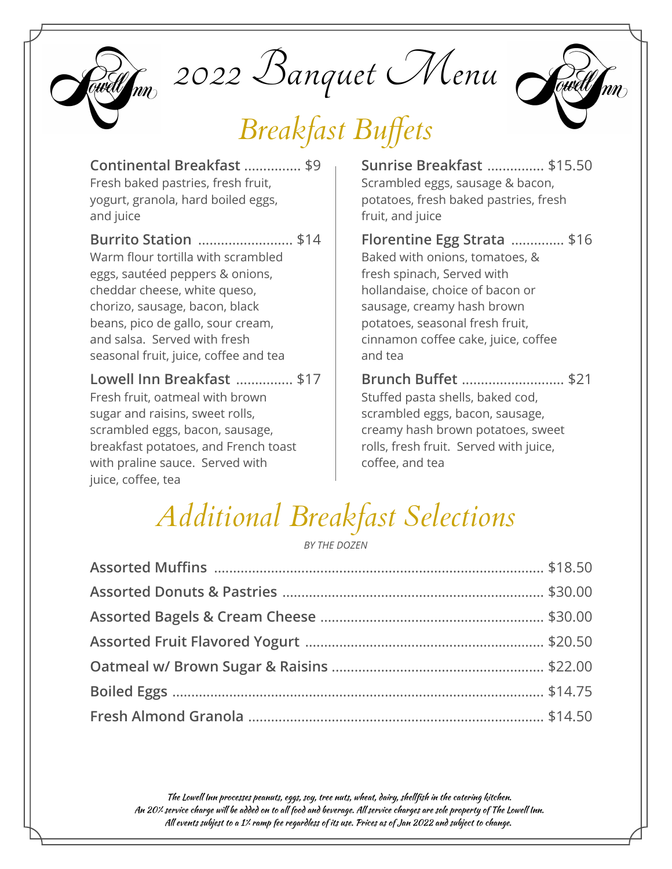

 $Q_{\!\!nm}$  2022 Banquet Menu

# *Breakfast Buffets*



**Continental Breakfast** ............... \$9 Fresh baked pastries, fresh fruit, yogurt, granola, hard boiled eggs,

and juice

**Burrito Station** ......................... \$14 Warm flour tortilla with scrambled eggs, sautéed peppers & onions, cheddar cheese, white queso, chorizo, sausage, bacon, black beans, pico de gallo, sour cream, and salsa. Served with fresh seasonal fruit, juice, coffee and tea

**Lowell Inn Breakfast** ............... \$17

Fresh fruit, oatmeal with brown sugar and raisins, sweet rolls, scrambled eggs, bacon, sausage, breakfast potatoes, and French toast with praline sauce. Served with juice, coffee, tea

**Sunrise Breakfast** ............... \$15.50 Scrambled eggs, sausage & bacon, potatoes, fresh baked pastries, fresh fruit, and juice

**Florentine Egg Strata** .............. \$16 Baked with onions, tomatoes, & fresh spinach, Served with hollandaise, choice of bacon or sausage, creamy hash brown potatoes, seasonal fresh fruit, cinnamon coffee cake, juice, coffee and tea

**Brunch Buffet** ........................... \$21 Stuffed pasta shells, baked cod, scrambled eggs, bacon, sausage, creamy hash brown potatoes, sweet rolls, fresh fruit. Served with juice, coffee, and tea

# *Additional Breakfast Selections*

*BY THE DOZEN*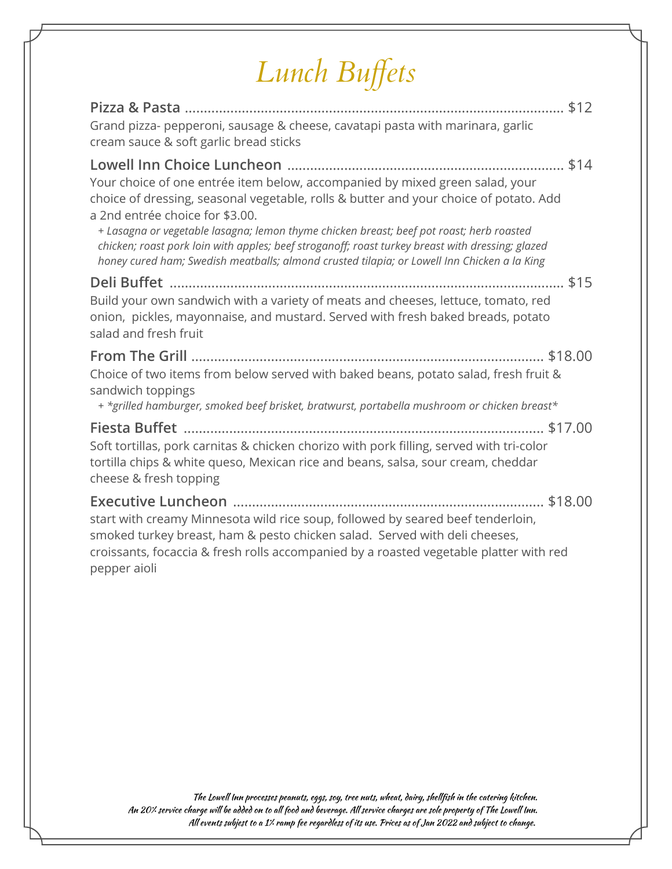# *Lunch Buffets*

| Grand pizza- pepperoni, sausage & cheese, cavatapi pasta with marinara, garlic<br>cream sauce & soft garlic bread sticks                                                                                                                                                                                                                                                                                                                                                                                |
|---------------------------------------------------------------------------------------------------------------------------------------------------------------------------------------------------------------------------------------------------------------------------------------------------------------------------------------------------------------------------------------------------------------------------------------------------------------------------------------------------------|
| Your choice of one entrée item below, accompanied by mixed green salad, your<br>choice of dressing, seasonal vegetable, rolls & butter and your choice of potato. Add<br>a 2nd entrée choice for \$3.00.<br>+ Lasagna or vegetable lasagna; lemon thyme chicken breast; beef pot roast; herb roasted<br>chicken; roast pork loin with apples; beef stroganoff; roast turkey breast with dressing; glazed<br>honey cured ham; Swedish meatballs; almond crusted tilapia; or Lowell Inn Chicken a la King |
| Build your own sandwich with a variety of meats and cheeses, lettuce, tomato, red<br>onion, pickles, mayonnaise, and mustard. Served with fresh baked breads, potato<br>salad and fresh fruit                                                                                                                                                                                                                                                                                                           |
| Choice of two items from below served with baked beans, potato salad, fresh fruit &<br>sandwich toppings<br>+ *grilled hamburger, smoked beef brisket, bratwurst, portabella mushroom or chicken breast*                                                                                                                                                                                                                                                                                                |
| Soft tortillas, pork carnitas & chicken chorizo with pork filling, served with tri-color<br>tortilla chips & white queso, Mexican rice and beans, salsa, sour cream, cheddar<br>cheese & fresh topping                                                                                                                                                                                                                                                                                                  |
| start with creamy Minnesota wild rice soup, followed by seared beef tenderloin,<br>smoked turkey breast, ham & pesto chicken salad. Served with deli cheeses,<br>croissants, focaccia & fresh rolls accompanied by a roasted vegetable platter with red<br>pepper aioli                                                                                                                                                                                                                                 |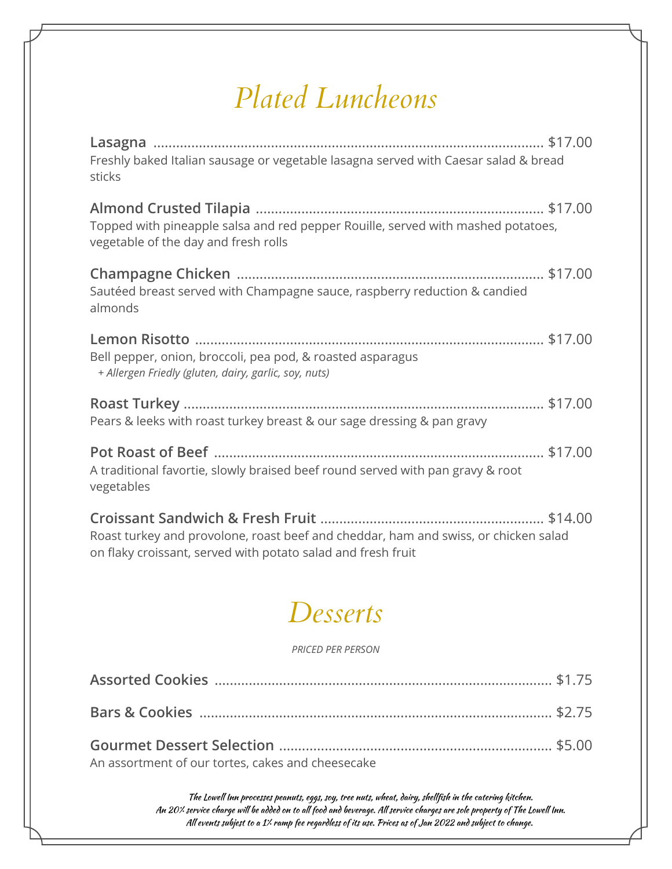### *Plated Luncheons*

| Freshly baked Italian sausage or vegetable lasagna served with Caesar salad & bread<br>sticks                                                       |  |
|-----------------------------------------------------------------------------------------------------------------------------------------------------|--|
| Topped with pineapple salsa and red pepper Rouille, served with mashed potatoes,<br>vegetable of the day and fresh rolls                            |  |
| Sautéed breast served with Champagne sauce, raspberry reduction & candied<br>almonds                                                                |  |
| Bell pepper, onion, broccoli, pea pod, & roasted asparagus<br>+ Allergen Friedly (gluten, dairy, garlic, soy, nuts)                                 |  |
| Pears & leeks with roast turkey breast & our sage dressing & pan gravy                                                                              |  |
| A traditional favortie, slowly braised beef round served with pan gravy & root<br>vegetables                                                        |  |
| Roast turkey and provolone, roast beef and cheddar, ham and swiss, or chicken salad<br>on flaky croissant, served with potato salad and fresh fruit |  |
| Desserts                                                                                                                                            |  |
| PRICED PER PERSON                                                                                                                                   |  |
|                                                                                                                                                     |  |
|                                                                                                                                                     |  |
|                                                                                                                                                     |  |

An assortment of our tortes, cakes and cheesecake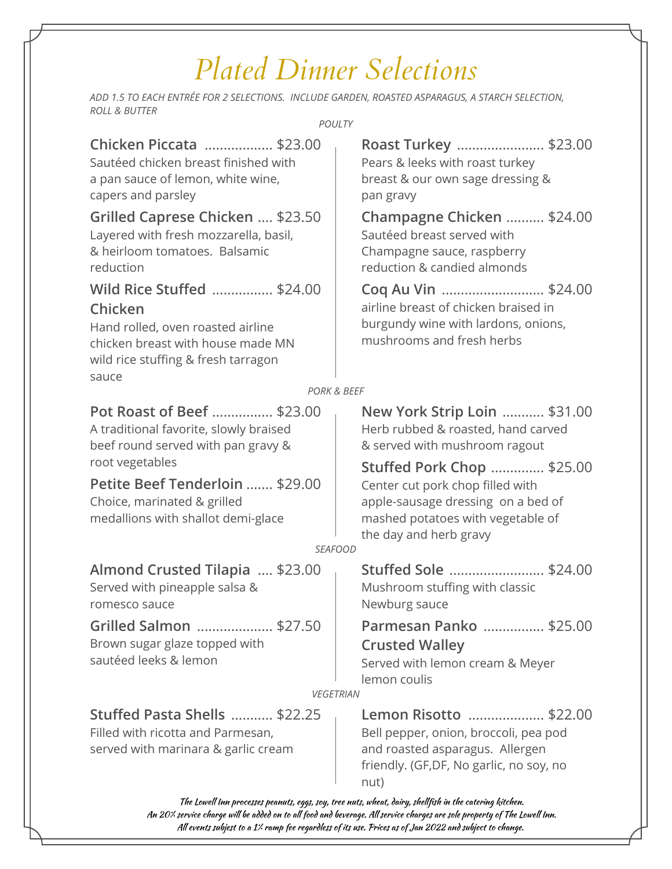## *Plated Dinner Selections*

*ADD 1.5 TO EACH ENTRÉE FOR 2 SELECTIONS. INCLUDE GARDEN, ROASTED ASPARAGUS, A STARCH SELECTION, ROLL & BUTTER*

*POULTY*

| Chicken Piccata  \$23.00<br>Sautéed chicken breast finished with<br>a pan sauce of lemon, white wine,<br>capers and parsley                                     | Roast Turkey  \$23.00<br>Pears & leeks with roast turkey<br>breast & our own sage dressing &<br>pan gravy                                                                  |
|-----------------------------------------------------------------------------------------------------------------------------------------------------------------|----------------------------------------------------------------------------------------------------------------------------------------------------------------------------|
| Grilled Caprese Chicken  \$23.50<br>Layered with fresh mozzarella, basil,<br>& heirloom tomatoes. Balsamic<br>reduction                                         | Champagne Chicken  \$24.00<br>Sautéed breast served with<br>Champagne sauce, raspberry<br>reduction & candied almonds                                                      |
| Wild Rice Stuffed  \$24.00<br>Chicken<br>Hand rolled, oven roasted airline<br>chicken breast with house made MN<br>wild rice stuffing & fresh tarragon<br>sauce | Coq Au Vin  \$24.00<br>airline breast of chicken braised in<br>burgundy wine with lardons, onions,<br>mushrooms and fresh herbs                                            |
| <b>PORK &amp; BEEF</b>                                                                                                                                          |                                                                                                                                                                            |
| Pot Roast of Beef  \$23.00<br>A traditional favorite, slowly braised<br>beef round served with pan gravy &                                                      | New York Strip Loin  \$31.00<br>Herb rubbed & roasted, hand carved<br>& served with mushroom ragout                                                                        |
| root vegetables<br>Petite Beef Tenderloin  \$29.00<br>Choice, marinated & grilled<br>medallions with shallot demi-glace                                         | <b>Stuffed Pork Chop  \$25.00</b><br>Center cut pork chop filled with<br>apple-sausage dressing on a bed of<br>mashed potatoes with vegetable of<br>the day and herb gravy |
| <b>SEAFOOD</b>                                                                                                                                                  |                                                                                                                                                                            |
| Almond Crusted Tilapia  \$23.00<br>Served with pineapple salsa &<br>romesco sauce                                                                               | Stuffed Sole  \$24.00<br>Mushroom stuffing with classic<br>Newburg sauce                                                                                                   |
| Grilled Salmon<br>\$27.50<br>Brown sugar glaze topped with<br>sautéed leeks & lemon<br><b>VEGETRIAN</b>                                                         | Parmesan Panko  \$25.00<br><b>Crusted Walley</b><br>Served with lemon cream & Meyer<br>lemon coulis                                                                        |
|                                                                                                                                                                 |                                                                                                                                                                            |
| Stuffed Pasta Shells  \$22.25<br>Filled with ricotta and Parmesan,<br>served with marinara & garlic cream                                                       | Lemon Risotto  \$22.00<br>Bell pepper, onion, broccoli, pea pod<br>and roasted asparagus. Allergen                                                                         |

and roasted asparagus. Allergen friendly. (GF,DF, No garlic, no soy, no nut)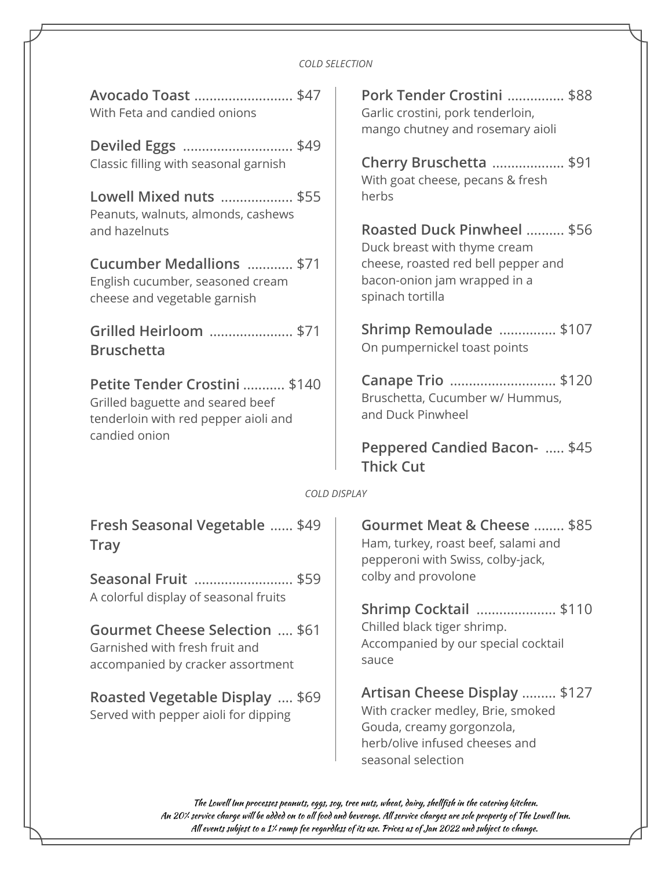#### *COLD SELECTION*

| Avocado Toast  \$47<br>With Feta and candied onions                                                       | Pork Tender Crostini  \$88<br>Garlic crostini, pork tenderloin,<br>mango chutney and rosemary aioli                                                     |
|-----------------------------------------------------------------------------------------------------------|---------------------------------------------------------------------------------------------------------------------------------------------------------|
| Deviled Eggs \$49<br>Classic filling with seasonal garnish                                                | Cherry Bruschetta  \$91<br>With goat cheese, pecans & fresh                                                                                             |
| Lowell Mixed nuts  \$55<br>Peanuts, walnuts, almonds, cashews                                             | herbs                                                                                                                                                   |
| and hazelnuts                                                                                             | Roasted Duck Pinwheel  \$56<br>Duck breast with thyme cream                                                                                             |
| Cucumber Medallions  \$71<br>English cucumber, seasoned cream<br>cheese and vegetable garnish             | cheese, roasted red bell pepper and<br>bacon-onion jam wrapped in a<br>spinach tortilla                                                                 |
| Grilled Heirloom  \$71<br><b>Bruschetta</b>                                                               | Shrimp Remoulade  \$107<br>On pumpernickel toast points                                                                                                 |
| Petite Tender Crostini  \$140<br>Grilled baguette and seared beef<br>tenderloin with red pepper aioli and | Canape Trio  \$120<br>Bruschetta, Cucumber w/ Hummus,<br>and Duck Pinwheel                                                                              |
| candied onion<br>Peppered Candied Bacon-  \$45<br><b>Thick Cut</b>                                        |                                                                                                                                                         |
| COLD DISPLAY                                                                                              |                                                                                                                                                         |
| Fresh Seasonal Vegetable  \$49<br><b>Tray</b>                                                             | Gourmet Meat & Cheese  \$85<br>Ham, turkey, roast beef, salami and<br>pepperoni with Swiss, colby-jack,<br>colby and provolone                          |
| Seasonal Fruit  \$59<br>A colorful display of seasonal fruits                                             |                                                                                                                                                         |
| Gourmet Cheese Selection  \$61<br>Garnished with fresh fruit and<br>accompanied by cracker assortment     | Shrimp Cocktail  \$110<br>Chilled black tiger shrimp.<br>Accompanied by our special cocktail<br>sauce                                                   |
| Roasted Vegetable Display  \$69<br>Served with pepper aioli for dipping                                   | Artisan Cheese Display  \$127<br>With cracker medley, Brie, smoked<br>Gouda, creamy gorgonzola,<br>herb/olive infused cheeses and<br>seasonal selection |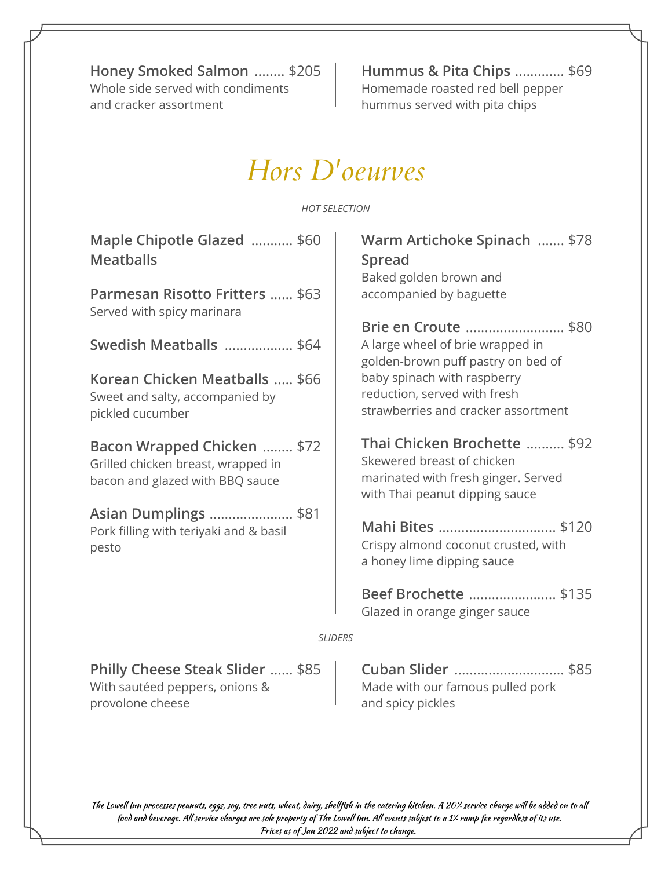**Honey Smoked Salmon** ........ \$205 Whole side served with condiments and cracker assortment

With sautéed peppers, onions &

provolone cheese

**Hummus & Pita Chips** ............. \$69 Homemade roasted red bell pepper hummus served with pita chips

Made with our famous pulled pork

and spicy pickles

#### *Hors D'oeurves*

#### *HOT SELECTION*

| Maple Chipotle Glazed  \$60<br><b>Meatballs</b><br>Parmesan Risotto Fritters  \$63                          | Warm Artichoke Spinach  \$78<br><b>Spread</b><br>Baked golden brown and<br>accompanied by baguette                                  |
|-------------------------------------------------------------------------------------------------------------|-------------------------------------------------------------------------------------------------------------------------------------|
| Served with spicy marinara                                                                                  | Brie en Croute  \$80                                                                                                                |
| Swedish Meatballs  \$64                                                                                     | A large wheel of brie wrapped in<br>golden-brown puff pastry on bed of                                                              |
| Korean Chicken Meatballs  \$66<br>Sweet and salty, accompanied by<br>pickled cucumber                       | baby spinach with raspberry<br>reduction, served with fresh<br>strawberries and cracker assortment                                  |
| <b>Bacon Wrapped Chicken  \$72</b><br>Grilled chicken breast, wrapped in<br>bacon and glazed with BBQ sauce | Thai Chicken Brochette  \$92<br>Skewered breast of chicken<br>marinated with fresh ginger. Served<br>with Thai peanut dipping sauce |
| <b>Asian Dumplings </b> \$81<br>Pork filling with teriyaki and & basil<br>pesto                             | Mahi Bites \$120<br>Crispy almond coconut crusted, with<br>a honey lime dipping sauce                                               |
|                                                                                                             | Beef Brochette  \$135<br>Glazed in orange ginger sauce                                                                              |
| <b>SLIDERS</b>                                                                                              |                                                                                                                                     |
| Philly Cheese Steak Slider  \$85                                                                            | Cuban Slider  \$85                                                                                                                  |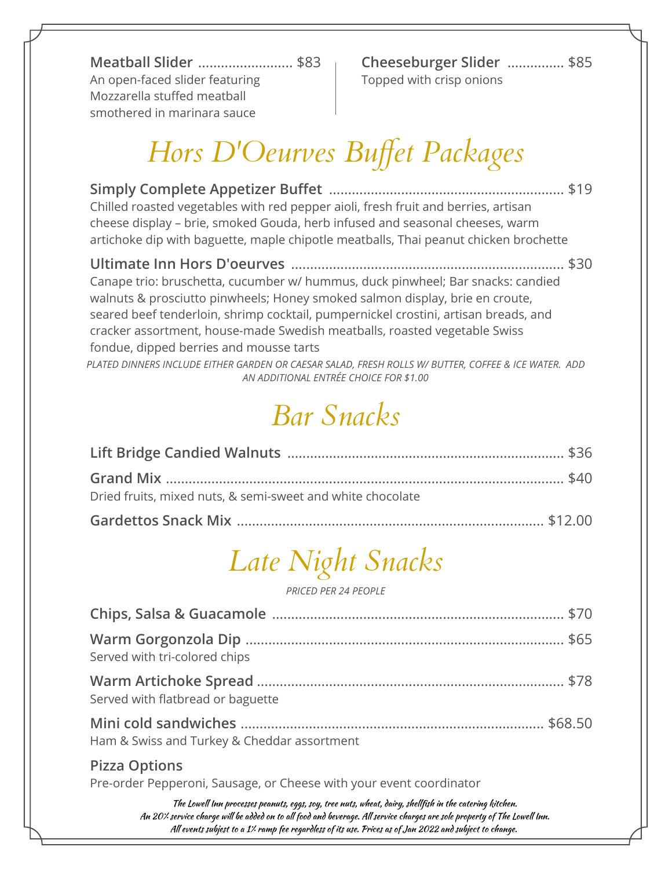**Meatball Slider** ......................... \$83 An open-faced slider featuring Mozzarella stuffed meatball smothered in marinara sauce

**Cheeseburger Slider** ............... \$85 Topped with crisp onions

## *Hors D'Oeurves Buffet Packages*

| Chilled roasted vegetables with red pepper aioli, fresh fruit and berries, artisan<br>cheese display - brie, smoked Gouda, herb infused and seasonal cheeses, warm<br>artichoke dip with baguette, maple chipotle meatballs, Thai peanut chicken brochette                                                                                                                     |  |
|--------------------------------------------------------------------------------------------------------------------------------------------------------------------------------------------------------------------------------------------------------------------------------------------------------------------------------------------------------------------------------|--|
| Canape trio: bruschetta, cucumber w/ hummus, duck pinwheel; Bar snacks: candied<br>walnuts & prosciutto pinwheels; Honey smoked salmon display, brie en croute,<br>seared beef tenderloin, shrimp cocktail, pumpernickel crostini, artisan breads, and<br>cracker assortment, house-made Swedish meatballs, roasted vegetable Swiss<br>fondue, dipped berries and mousse tarts |  |
| PLATED DINNERS INCLUDE EITHER GARDEN OR CAESAR SALAD, FRESH ROLLS W/ BUTTER, COFFEE & ICE WATER. ADD<br>AN ADDITIONAL ENTRÉE CHOICE FOR \$1.00                                                                                                                                                                                                                                 |  |

### *Bar Snacks*

| Dried fruits, mixed nuts, & semi-sweet and white chocolate |  |
|------------------------------------------------------------|--|
|                                                            |  |

# *Late Night Snacks*

*PRICED PER 24 PEOPLE*

| Served with tri-colored chips                                                                                                                                                                                                      |  |
|------------------------------------------------------------------------------------------------------------------------------------------------------------------------------------------------------------------------------------|--|
| Served with flatbread or baguette                                                                                                                                                                                                  |  |
| Ham & Swiss and Turkey & Cheddar assortment                                                                                                                                                                                        |  |
| <b>Pizza Options</b><br>Pre-order Pepperoni, Sausage, or Cheese with your event coordinator                                                                                                                                        |  |
| $\tau(t)$ and $\tau(t)$ is a set of the set of the set of the set of the set of the set of the set of the set of the set of the set of the set of the set of the set of the set of the set of the set of the set of the set of the |  |